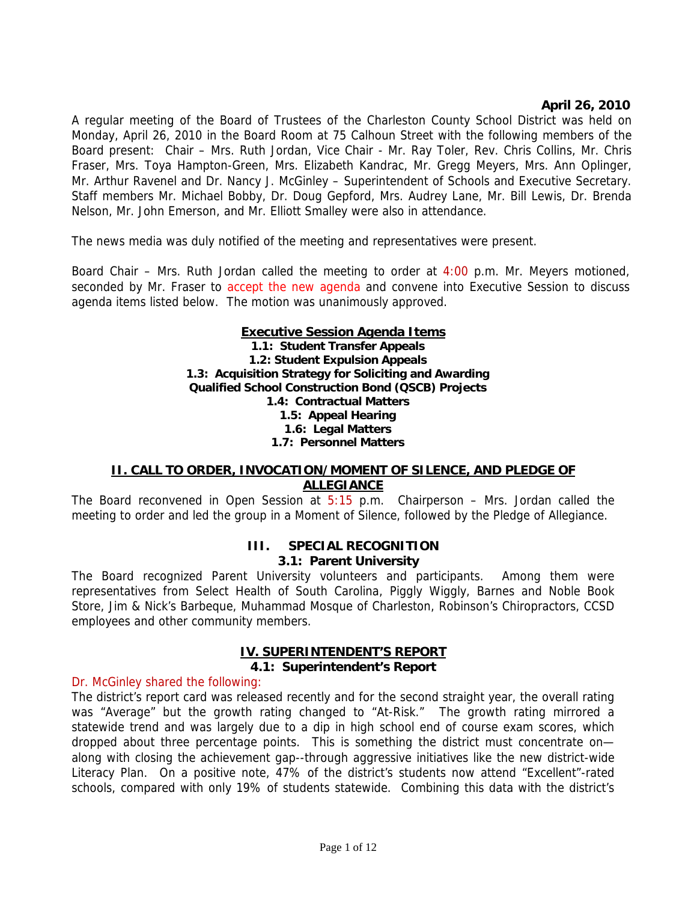## **April 26, 2010**

A regular meeting of the Board of Trustees of the Charleston County School District was held on Monday, April 26, 2010 in the Board Room at 75 Calhoun Street with the following members of the Board present: Chair – Mrs. Ruth Jordan, Vice Chair - Mr. Ray Toler, Rev. Chris Collins, Mr. Chris Fraser, Mrs. Toya Hampton-Green, Mrs. Elizabeth Kandrac, Mr. Gregg Meyers, Mrs. Ann Oplinger, Mr. Arthur Ravenel and Dr. Nancy J. McGinley – Superintendent of Schools and Executive Secretary. Staff members Mr. Michael Bobby, Dr. Doug Gepford, Mrs. Audrey Lane, Mr. Bill Lewis, Dr. Brenda Nelson, Mr. John Emerson, and Mr. Elliott Smalley were also in attendance.

The news media was duly notified of the meeting and representatives were present.

Board Chair – Mrs. Ruth Jordan called the meeting to order at  $4:00$  p.m. Mr. Meyers motioned, seconded by Mr. Fraser to accept the new agenda and convene into Executive Session to discuss agenda items listed below. The motion was unanimously approved.

#### **Executive Session Agenda Items**

**1.1: Student Transfer Appeals 1.2: Student Expulsion Appeals 1.3: Acquisition Strategy for Soliciting and Awarding Qualified School Construction Bond (QSCB) Projects 1.4: Contractual Matters 1.5: Appeal Hearing 1.6: Legal Matters 1.7: Personnel Matters** 

## **II. CALL TO ORDER, INVOCATION/MOMENT OF SILENCE, AND PLEDGE OF ALLEGIANCE**

The Board reconvened in Open Session at  $5:15$  p.m. Chairperson – Mrs. Jordan called the meeting to order and led the group in a Moment of Silence, followed by the Pledge of Allegiance.

#### **III. SPECIAL RECOGNITION 3.1: Parent University**

The Board recognized Parent University volunteers and participants. Among them were representatives from Select Health of South Carolina, Piggly Wiggly, Barnes and Noble Book Store, Jim & Nick's Barbeque, Muhammad Mosque of Charleston, Robinson's Chiropractors, CCSD employees and other community members.

# **IV. SUPERINTENDENT'S REPORT**

## **4.1: Superintendent's Report**

## Dr. McGinley shared the following:

The district's report card was released recently and for the second straight year, the overall rating was "Average" but the growth rating changed to "At-Risk." The growth rating mirrored a statewide trend and was largely due to a dip in high school end of course exam scores, which dropped about three percentage points. This is something the district must concentrate on along with closing the achievement gap--through aggressive initiatives like the new district-wide Literacy Plan. On a positive note, 47% of the district's students now attend "Excellent"-rated schools, compared with only 19% of students statewide. Combining this data with the district's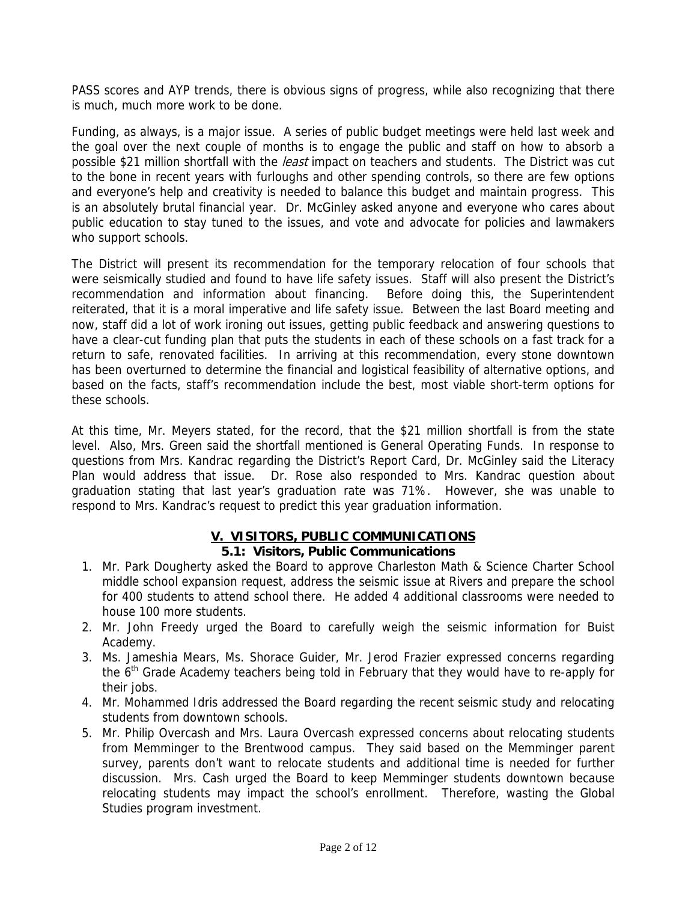PASS scores and AYP trends, there is obvious signs of progress, while also recognizing that there is much, much more work to be done.

Funding, as always, is a major issue. A series of public budget meetings were held last week and the goal over the next couple of months is to engage the public and staff on how to absorb a possible \$21 million shortfall with the *least* impact on teachers and students. The District was cut to the bone in recent years with furloughs and other spending controls, so there are few options and everyone's help and creativity is needed to balance this budget and maintain progress. This is an absolutely brutal financial year. Dr. McGinley asked anyone and everyone who cares about public education to stay tuned to the issues, and vote and advocate for policies and lawmakers who support schools.

The District will present its recommendation for the temporary relocation of four schools that were seismically studied and found to have life safety issues. Staff will also present the District's recommendation and information about financing. Before doing this, the Superintendent reiterated, that it is a moral imperative and life safety issue. Between the last Board meeting and now, staff did a lot of work ironing out issues, getting public feedback and answering questions to have a clear-cut funding plan that puts the students in each of these schools on a fast track for a return to safe, renovated facilities. In arriving at this recommendation, every stone downtown has been overturned to determine the financial and logistical feasibility of alternative options, and based on the facts, staff's recommendation include the best, most viable short-term options for these schools.

At this time, Mr. Meyers stated, for the record, that the \$21 million shortfall is from the state level. Also, Mrs. Green said the shortfall mentioned is General Operating Funds. In response to questions from Mrs. Kandrac regarding the District's Report Card, Dr. McGinley said the Literacy Plan would address that issue. Dr. Rose also responded to Mrs. Kandrac question about graduation stating that last year's graduation rate was 71%. However, she was unable to respond to Mrs. Kandrac's request to predict this year graduation information.

#### **V. VISITORS, PUBLIC COMMUNICATIONS 5.1: Visitors, Public Communications**

- 1. Mr. Park Dougherty asked the Board to approve Charleston Math & Science Charter School middle school expansion request, address the seismic issue at Rivers and prepare the school for 400 students to attend school there. He added 4 additional classrooms were needed to house 100 more students.
- 2. Mr. John Freedy urged the Board to carefully weigh the seismic information for Buist Academy.
- 3. Ms. Jameshia Mears, Ms. Shorace Guider, Mr. Jerod Frazier expressed concerns regarding the  $6<sup>th</sup>$  Grade Academy teachers being told in February that they would have to re-apply for their jobs.
- 4. Mr. Mohammed Idris addressed the Board regarding the recent seismic study and relocating students from downtown schools.
- 5. Mr. Philip Overcash and Mrs. Laura Overcash expressed concerns about relocating students from Memminger to the Brentwood campus. They said based on the Memminger parent survey, parents don't want to relocate students and additional time is needed for further discussion. Mrs. Cash urged the Board to keep Memminger students downtown because relocating students may impact the school's enrollment. Therefore, wasting the Global Studies program investment.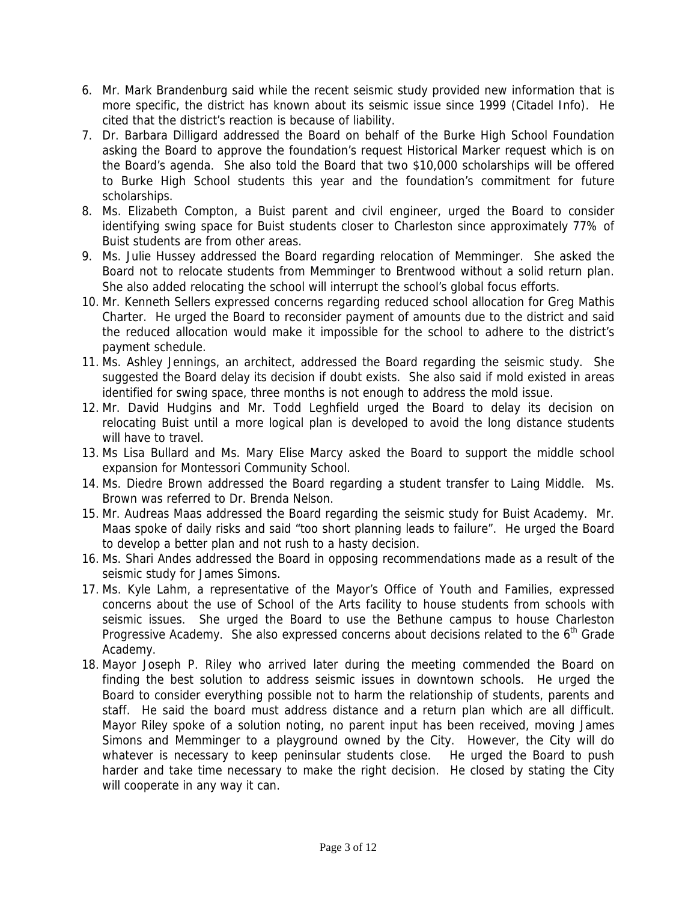- 6. Mr. Mark Brandenburg said while the recent seismic study provided new information that is more specific, the district has known about its seismic issue since 1999 (Citadel Info). He cited that the district's reaction is because of liability.
- 7. Dr. Barbara Dilligard addressed the Board on behalf of the Burke High School Foundation asking the Board to approve the foundation's request Historical Marker request which is on the Board's agenda. She also told the Board that two \$10,000 scholarships will be offered to Burke High School students this year and the foundation's commitment for future scholarships.
- 8. Ms. Elizabeth Compton, a Buist parent and civil engineer, urged the Board to consider identifying swing space for Buist students closer to Charleston since approximately 77% of Buist students are from other areas.
- 9. Ms. Julie Hussey addressed the Board regarding relocation of Memminger. She asked the Board not to relocate students from Memminger to Brentwood without a solid return plan. She also added relocating the school will interrupt the school's global focus efforts.
- 10. Mr. Kenneth Sellers expressed concerns regarding reduced school allocation for Greg Mathis Charter. He urged the Board to reconsider payment of amounts due to the district and said the reduced allocation would make it impossible for the school to adhere to the district's payment schedule.
- 11. Ms. Ashley Jennings, an architect, addressed the Board regarding the seismic study. She suggested the Board delay its decision if doubt exists. She also said if mold existed in areas identified for swing space, three months is not enough to address the mold issue.
- 12. Mr. David Hudgins and Mr. Todd Leghfield urged the Board to delay its decision on relocating Buist until a more logical plan is developed to avoid the long distance students will have to travel.
- 13. Ms Lisa Bullard and Ms. Mary Elise Marcy asked the Board to support the middle school expansion for Montessori Community School.
- 14. Ms. Diedre Brown addressed the Board regarding a student transfer to Laing Middle. Ms. Brown was referred to Dr. Brenda Nelson.
- 15. Mr. Audreas Maas addressed the Board regarding the seismic study for Buist Academy. Mr. Maas spoke of daily risks and said "too short planning leads to failure". He urged the Board to develop a better plan and not rush to a hasty decision.
- 16. Ms. Shari Andes addressed the Board in opposing recommendations made as a result of the seismic study for James Simons.
- 17. Ms. Kyle Lahm, a representative of the Mayor's Office of Youth and Families, expressed concerns about the use of School of the Arts facility to house students from schools with seismic issues. She urged the Board to use the Bethune campus to house Charleston Progressive Academy. She also expressed concerns about decisions related to the 6<sup>th</sup> Grade Academy.
- 18. Mayor Joseph P. Riley who arrived later during the meeting commended the Board on finding the best solution to address seismic issues in downtown schools. He urged the Board to consider everything possible not to harm the relationship of students, parents and staff. He said the board must address distance and a return plan which are all difficult. Mayor Riley spoke of a solution noting, no parent input has been received, moving James Simons and Memminger to a playground owned by the City. However, the City will do whatever is necessary to keep peninsular students close. He urged the Board to push harder and take time necessary to make the right decision. He closed by stating the City will cooperate in any way it can.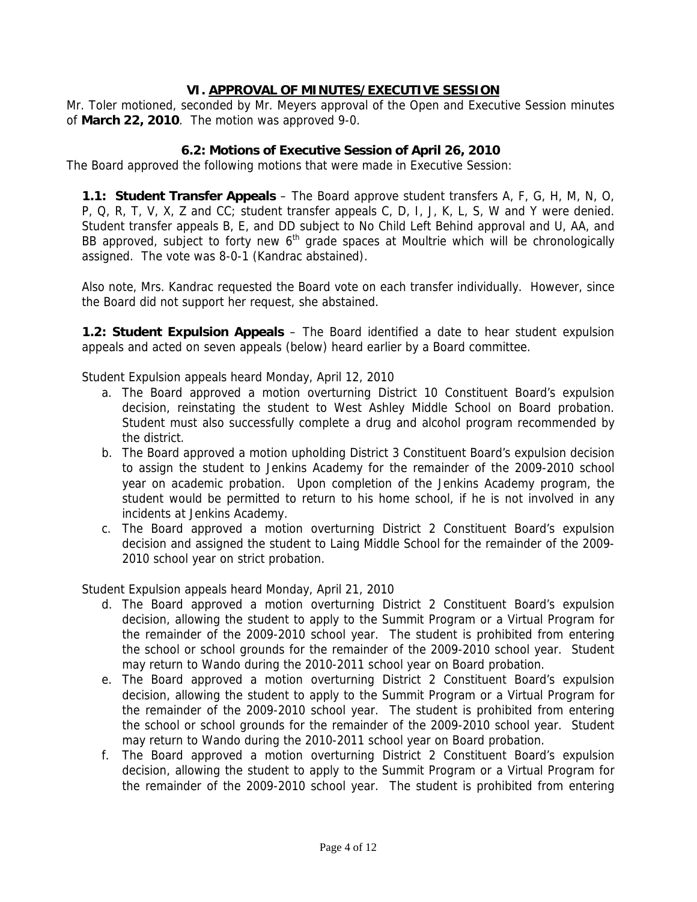## **VI. APPROVAL OF MINUTES/EXECUTIVE SESSION**

Mr. Toler motioned, seconded by Mr. Meyers approval of the Open and Executive Session minutes of **March 22, 2010**. The motion was approved 9-0.

## **6.2: Motions of Executive Session of April 26, 2010**

The Board approved the following motions that were made in Executive Session:

**1.1: Student Transfer Appeals** – The Board approve student transfers A, F, G, H, M, N, O, P, Q, R, T, V, X, Z and CC; student transfer appeals C, D, I, J, K, L, S, W and Y were denied. Student transfer appeals B, E, and DD subject to No Child Left Behind approval and U, AA, and BB approved, subject to forty new 6<sup>th</sup> grade spaces at Moultrie which will be chronologically assigned. The vote was 8-0-1 (Kandrac abstained).

Also note, Mrs. Kandrac requested the Board vote on each transfer individually. However, since the Board did not support her request, she abstained.

**1.2: Student Expulsion Appeals** – The Board identified a date to hear student expulsion appeals and acted on seven appeals (below) heard earlier by a Board committee.

Student Expulsion appeals heard Monday, April 12, 2010

- a. The Board approved a motion overturning District 10 Constituent Board's expulsion decision, reinstating the student to West Ashley Middle School on Board probation. Student must also successfully complete a drug and alcohol program recommended by the district.
- b. The Board approved a motion upholding District 3 Constituent Board's expulsion decision to assign the student to Jenkins Academy for the remainder of the 2009-2010 school year on academic probation. Upon completion of the Jenkins Academy program, the student would be permitted to return to his home school, if he is not involved in any incidents at Jenkins Academy.
- c. The Board approved a motion overturning District 2 Constituent Board's expulsion decision and assigned the student to Laing Middle School for the remainder of the 2009- 2010 school year on strict probation.

Student Expulsion appeals heard Monday, April 21, 2010

- d. The Board approved a motion overturning District 2 Constituent Board's expulsion decision, allowing the student to apply to the Summit Program or a Virtual Program for the remainder of the 2009-2010 school year. The student is prohibited from entering the school or school grounds for the remainder of the 2009-2010 school year. Student may return to Wando during the 2010-2011 school year on Board probation.
- e. The Board approved a motion overturning District 2 Constituent Board's expulsion decision, allowing the student to apply to the Summit Program or a Virtual Program for the remainder of the 2009-2010 school year. The student is prohibited from entering the school or school grounds for the remainder of the 2009-2010 school year. Student may return to Wando during the 2010-2011 school year on Board probation.
- f. The Board approved a motion overturning District 2 Constituent Board's expulsion decision, allowing the student to apply to the Summit Program or a Virtual Program for the remainder of the 2009-2010 school year. The student is prohibited from entering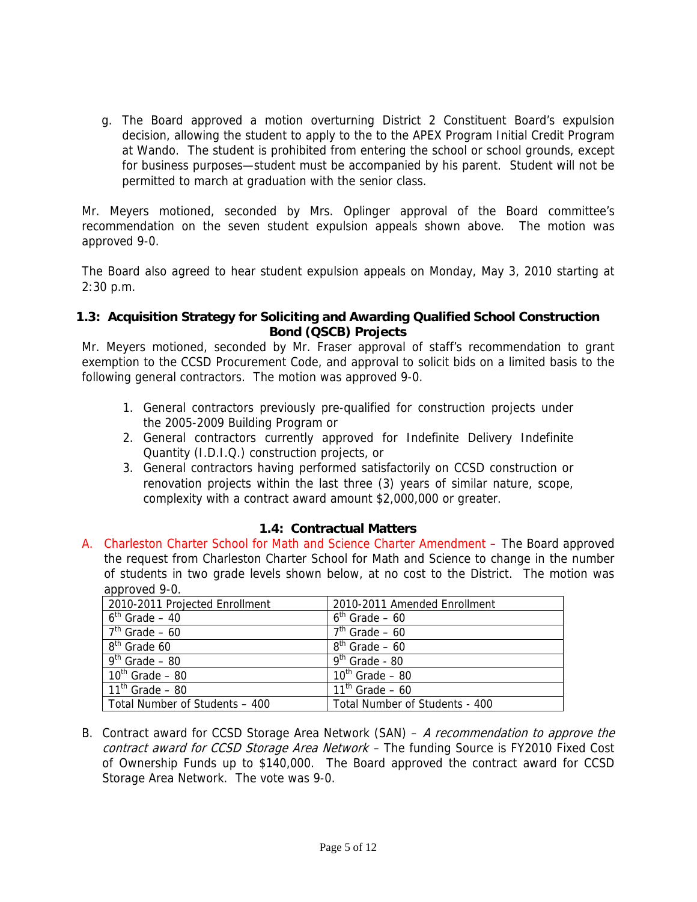g. The Board approved a motion overturning District 2 Constituent Board's expulsion decision, allowing the student to apply to the to the APEX Program Initial Credit Program at Wando. The student is prohibited from entering the school or school grounds, except for business purposes—student must be accompanied by his parent. Student will not be permitted to march at graduation with the senior class.

Mr. Meyers motioned, seconded by Mrs. Oplinger approval of the Board committee's recommendation on the seven student expulsion appeals shown above. The motion was approved 9-0.

The Board also agreed to hear student expulsion appeals on Monday, May 3, 2010 starting at 2:30 p.m.

## **1.3: Acquisition Strategy for Soliciting and Awarding Qualified School Construction Bond (QSCB) Projects**

Mr. Meyers motioned, seconded by Mr. Fraser approval of staff's recommendation to grant exemption to the CCSD Procurement Code, and approval to solicit bids on a limited basis to the following general contractors. The motion was approved 9-0.

- 1. General contractors previously pre-qualified for construction projects under the 2005-2009 Building Program or
- 2. General contractors currently approved for Indefinite Delivery Indefinite Quantity (I.D.I.Q.) construction projects, or
- 3. General contractors having performed satisfactorily on CCSD construction or renovation projects within the last three (3) years of similar nature, scope, complexity with a contract award amount \$2,000,000 or greater.

## **1.4: Contractual Matters**

A. Charleston Charter School for Math and Science Charter Amendment – The Board approved the request from Charleston Charter School for Math and Science to change in the number of students in two grade levels shown below, at no cost to the District. The motion was approved 9-0.

| 2010-2011 Projected Enrollment | 2010-2011 Amended Enrollment   |
|--------------------------------|--------------------------------|
| $6th$ Grade - 40               | $6th$ Grade $-60$              |
| $7th$ Grade – 60               | $7th$ Grade – 60               |
| 8 <sup>th</sup> Grade 60       | $8th$ Grade $-60$              |
| $9th$ Grade - 80               | $9th$ Grade - 80               |
| $10^{th}$ Grade – 80           | $10^{th}$ Grade - 80           |
| $11th$ Grade – 80              | $11^{th}$ Grade - 60           |
| Total Number of Students - 400 | Total Number of Students - 400 |

B. Contract award for CCSD Storage Area Network (SAN) – A recommendation to approve the contract award for CCSD Storage Area Network - The funding Source is FY2010 Fixed Cost of Ownership Funds up to \$140,000. The Board approved the contract award for CCSD Storage Area Network. The vote was 9-0.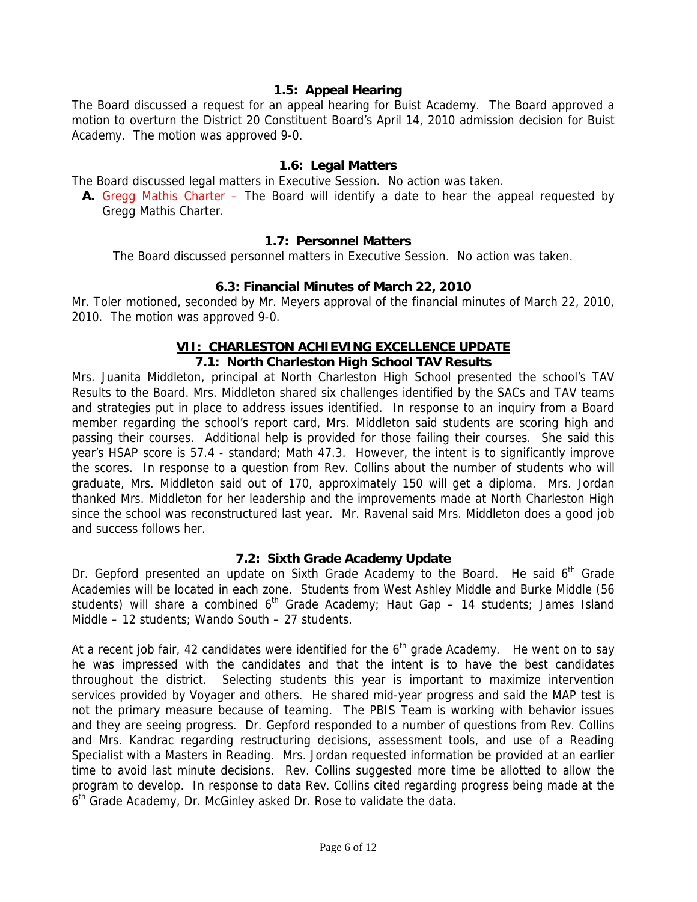#### **1.5: Appeal Hearing**

The Board discussed a request for an appeal hearing for Buist Academy. The Board approved a motion to overturn the District 20 Constituent Board's April 14, 2010 admission decision for Buist Academy. The motion was approved 9-0.

## **1.6: Legal Matters**

The Board discussed legal matters in Executive Session. No action was taken.

**A.** Gregg Mathis Charter – The Board will identify a date to hear the appeal requested by Gregg Mathis Charter.

## **1.7: Personnel Matters**

The Board discussed personnel matters in Executive Session. No action was taken.

#### **6.3: Financial Minutes of March 22, 2010**

Mr. Toler motioned, seconded by Mr. Meyers approval of the financial minutes of March 22, 2010, 2010. The motion was approved 9-0.

#### **VII: CHARLESTON ACHIEVING EXCELLENCE UPDATE 7.1: North Charleston High School TAV Results**

Mrs. Juanita Middleton, principal at North Charleston High School presented the school's TAV Results to the Board. Mrs. Middleton shared six challenges identified by the SACs and TAV teams and strategies put in place to address issues identified. In response to an inquiry from a Board member regarding the school's report card, Mrs. Middleton said students are scoring high and passing their courses. Additional help is provided for those failing their courses. She said this year's HSAP score is 57.4 - standard; Math 47.3. However, the intent is to significantly improve the scores. In response to a question from Rev. Collins about the number of students who will graduate, Mrs. Middleton said out of 170, approximately 150 will get a diploma. Mrs. Jordan thanked Mrs. Middleton for her leadership and the improvements made at North Charleston High since the school was reconstructured last year. Mr. Ravenal said Mrs. Middleton does a good job and success follows her.

## **7.2: Sixth Grade Academy Update**

Dr. Gepford presented an update on Sixth Grade Academy to the Board. He said  $6<sup>th</sup>$  Grade Academies will be located in each zone. Students from West Ashley Middle and Burke Middle (56 students) will share a combined  $6<sup>th</sup>$  Grade Academy; Haut Gap – 14 students; James Island Middle – 12 students; Wando South – 27 students.

At a recent job fair, 42 candidates were identified for the  $6<sup>th</sup>$  grade Academy. He went on to say he was impressed with the candidates and that the intent is to have the best candidates throughout the district. Selecting students this year is important to maximize intervention services provided by Voyager and others. He shared mid-year progress and said the MAP test is not the primary measure because of teaming. The PBIS Team is working with behavior issues and they are seeing progress. Dr. Gepford responded to a number of questions from Rev. Collins and Mrs. Kandrac regarding restructuring decisions, assessment tools, and use of a Reading Specialist with a Masters in Reading. Mrs. Jordan requested information be provided at an earlier time to avoid last minute decisions. Rev. Collins suggested more time be allotted to allow the program to develop. In response to data Rev. Collins cited regarding progress being made at the  $6<sup>th</sup>$  Grade Academy, Dr. McGinley asked Dr. Rose to validate the data.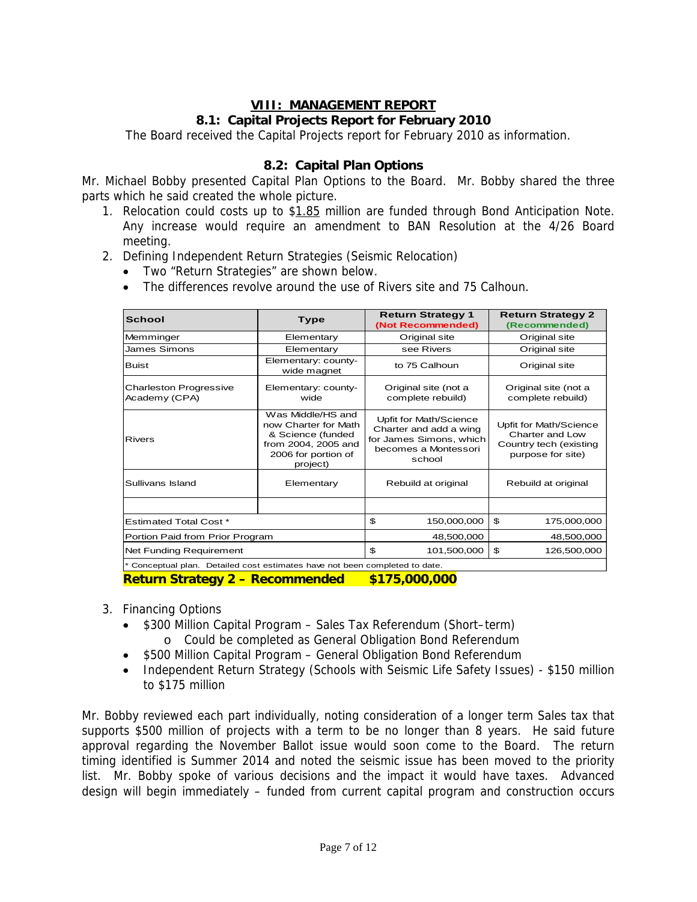## **VIII: MANAGEMENT REPORT**

## **8.1: Capital Projects Report for February 2010**

The Board received the Capital Projects report for February 2010 as information.

## **8.2: Capital Plan Options**

Mr. Michael Bobby presented Capital Plan Options to the Board. Mr. Bobby shared the three parts which he said created the whole picture.

- 1. Relocation could costs up to \$1.85 million are funded through Bond Anticipation Note. Any increase would require an amendment to BAN Resolution at the 4/26 Board meeting.
- 2. Defining Independent Return Strategies (Seismic Relocation)
	- Two "Return Strategies" are shown below.
	- The differences revolve around the use of Rivers site and 75 Calhoun.

| <b>School</b>                                                               | <b>Type</b>                                                                                                              | <b>Return Strategy 1</b><br>(Not Recommended)                                                                 | <b>Return Strategy 2</b><br>(Recommended)                                                |
|-----------------------------------------------------------------------------|--------------------------------------------------------------------------------------------------------------------------|---------------------------------------------------------------------------------------------------------------|------------------------------------------------------------------------------------------|
| Memminger                                                                   | Elementary                                                                                                               | Original site                                                                                                 | Original site                                                                            |
| James Simons                                                                | Elementary                                                                                                               | see Rivers                                                                                                    | Original site                                                                            |
| <b>Buist</b>                                                                | Elementary: county-<br>wide magnet                                                                                       | to 75 Calhoun                                                                                                 | Original site                                                                            |
| <b>Charleston Progressive</b><br>Academy (CPA)                              | Elementary: county-<br>wide                                                                                              | Original site (not a<br>complete rebuild)                                                                     | Original site (not a<br>complete rebuild)                                                |
| <b>Rivers</b>                                                               | Was Middle/HS and<br>now Charter for Math<br>& Science (funded<br>from 2004, 2005 and<br>2006 for portion of<br>project) | Upfit for Math/Science<br>Charter and add a wing<br>for James Simons, which<br>becomes a Montessori<br>school | Upfit for Math/Science<br>Charter and Low<br>Country tech (existing<br>purpose for site) |
| <b>Sullivans Island</b>                                                     | Elementary                                                                                                               | Rebuild at original                                                                                           | Rebuild at original                                                                      |
|                                                                             |                                                                                                                          |                                                                                                               |                                                                                          |
| <b>Estimated Total Cost *</b>                                               |                                                                                                                          | \$<br>150,000,000                                                                                             | \$<br>175,000,000                                                                        |
| Portion Paid from Prior Program                                             |                                                                                                                          | 48,500,000                                                                                                    | 48,500,000                                                                               |
| Net Funding Requirement                                                     |                                                                                                                          | \$<br>101,500,000                                                                                             | \$<br>126,500,000                                                                        |
| * Conceptual plan. Detailed cost estimates have not been completed to date. |                                                                                                                          |                                                                                                               |                                                                                          |

**Return Strategy 2 – Recommended \$175,000,000** 

- 3. Financing Options
	- \$300 Million Capital Program Sales Tax Referendum (Short–term) o Could be completed as General Obligation Bond Referendum
	- \$500 Million Capital Program General Obligation Bond Referendum
	- Independent Return Strategy (Schools with Seismic Life Safety Issues) \$150 million to \$175 million

Mr. Bobby reviewed each part individually, noting consideration of a longer term Sales tax that supports \$500 million of projects with a term to be no longer than 8 years. He said future approval regarding the November Ballot issue would soon come to the Board. The return timing identified is Summer 2014 and noted the seismic issue has been moved to the priority list. Mr. Bobby spoke of various decisions and the impact it would have taxes. Advanced design will begin immediately – funded from current capital program and construction occurs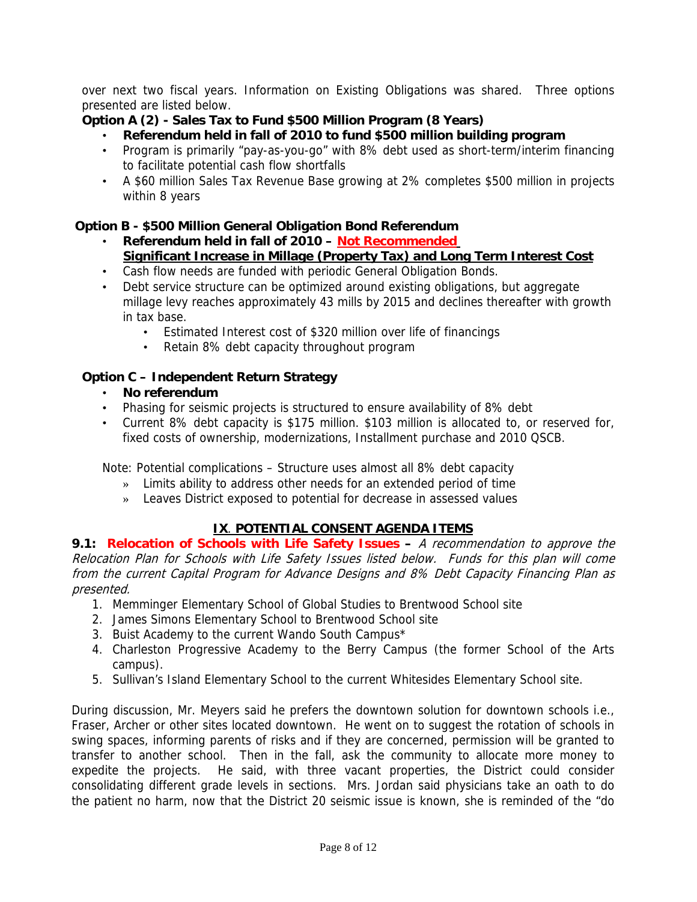over next two fiscal years. Information on Existing Obligations was shared. Three options presented are listed below.

# **Option A (2) - Sales Tax to Fund \$500 Million Program (8 Years)**

- **Referendum held in fall of 2010 to fund \$500 million building program**
- Program is primarily "pay-as-you-go" with 8% debt used as short-term/interim financing to facilitate potential cash flow shortfalls
- A \$60 million Sales Tax Revenue Base growing at 2% completes \$500 million in projects within 8 years

# **Option B - \$500 Million General Obligation Bond Referendum**

- **Referendum held in fall of 2010 Not Recommended Significant Increase in Millage (Property Tax) and Long Term Interest Cost**
- Cash flow needs are funded with periodic General Obligation Bonds.
- Debt service structure can be optimized around existing obligations, but aggregate millage levy reaches approximately 43 mills by 2015 and declines thereafter with growth in tax base.
	- Estimated Interest cost of \$320 million over life of financings
	- Retain 8% debt capacity throughout program

# **Option C – Independent Return Strategy**

- **No referendum**
- Phasing for seismic projects is structured to ensure availability of 8% debt
- Current 8% debt capacity is \$175 million. \$103 million is allocated to, or reserved for, fixed costs of ownership, modernizations, Installment purchase and 2010 QSCB.

Note: Potential complications – Structure uses almost all 8% debt capacity

- » Limits ability to address other needs for an extended period of time
- » Leaves District exposed to potential for decrease in assessed values

# **IX**. **POTENTIAL CONSENT AGENDA ITEMS**

**9.1: Relocation of Schools with Life Safety Issues –** A recommendation to approve the Relocation Plan for Schools with Life Safety Issues listed below. Funds for this plan will come from the current Capital Program for Advance Designs and 8% Debt Capacity Financing Plan as presented.

- 1. Memminger Elementary School of Global Studies to Brentwood School site
- 2. James Simons Elementary School to Brentwood School site
- 3. Buist Academy to the current Wando South Campus\*
- 4. Charleston Progressive Academy to the Berry Campus (the former School of the Arts campus).
- 5. Sullivan's Island Elementary School to the current Whitesides Elementary School site.

During discussion, Mr. Meyers said he prefers the downtown solution for downtown schools i.e., Fraser, Archer or other sites located downtown. He went on to suggest the rotation of schools in swing spaces, informing parents of risks and if they are concerned, permission will be granted to transfer to another school. Then in the fall, ask the community to allocate more money to expedite the projects. He said, with three vacant properties, the District could consider consolidating different grade levels in sections. Mrs. Jordan said physicians take an oath to do the patient no harm, now that the District 20 seismic issue is known, she is reminded of the "do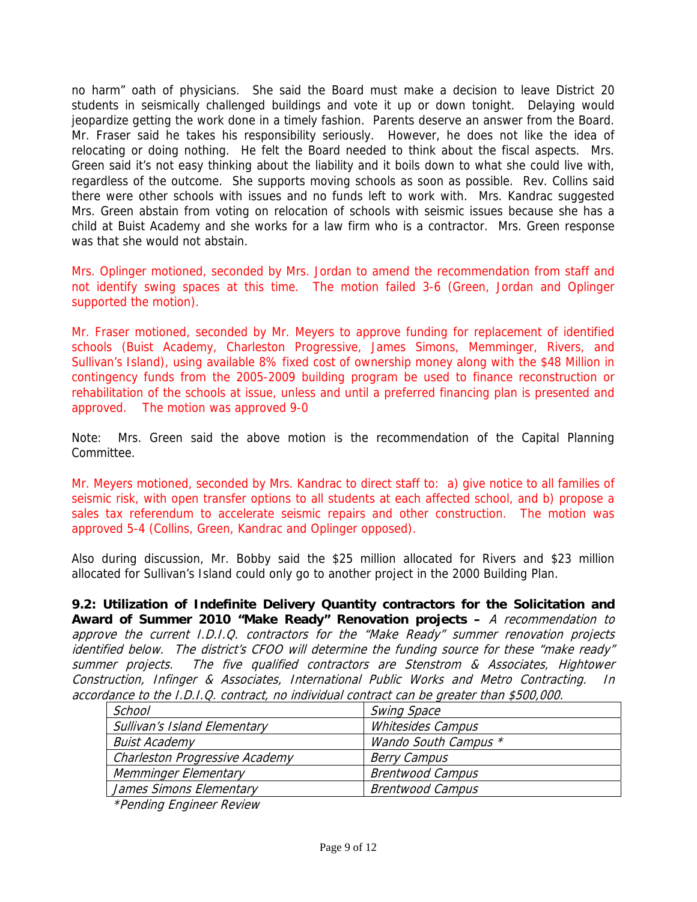no harm" oath of physicians. She said the Board must make a decision to leave District 20 students in seismically challenged buildings and vote it up or down tonight. Delaying would jeopardize getting the work done in a timely fashion. Parents deserve an answer from the Board. Mr. Fraser said he takes his responsibility seriously. However, he does not like the idea of relocating or doing nothing. He felt the Board needed to think about the fiscal aspects. Mrs. Green said it's not easy thinking about the liability and it boils down to what she could live with, regardless of the outcome. She supports moving schools as soon as possible. Rev. Collins said there were other schools with issues and no funds left to work with. Mrs. Kandrac suggested Mrs. Green abstain from voting on relocation of schools with seismic issues because she has a child at Buist Academy and she works for a law firm who is a contractor. Mrs. Green response was that she would not abstain.

Mrs. Oplinger motioned, seconded by Mrs. Jordan to amend the recommendation from staff and not identify swing spaces at this time. The motion failed 3-6 (Green, Jordan and Oplinger supported the motion).

Mr. Fraser motioned, seconded by Mr. Meyers to approve funding for replacement of identified schools (Buist Academy, Charleston Progressive, James Simons, Memminger, Rivers, and Sullivan's Island), using available 8% fixed cost of ownership money along with the \$48 Million in contingency funds from the 2005-2009 building program be used to finance reconstruction or rehabilitation of the schools at issue, unless and until a preferred financing plan is presented and approved. The motion was approved 9-0

Note: Mrs. Green said the above motion is the recommendation of the Capital Planning Committee.

Mr. Meyers motioned, seconded by Mrs. Kandrac to direct staff to: a) give notice to all families of seismic risk, with open transfer options to all students at each affected school, and b) propose a sales tax referendum to accelerate seismic repairs and other construction. The motion was approved 5-4 (Collins, Green, Kandrac and Oplinger opposed).

Also during discussion, Mr. Bobby said the \$25 million allocated for Rivers and \$23 million allocated for Sullivan's Island could only go to another project in the 2000 Building Plan.

**9.2: Utilization of Indefinite Delivery Quantity contractors for the Solicitation and Award of Summer 2010 "Make Ready" Renovation projects –** A recommendation to approve the current I.D.I.Q. contractors for the "Make Ready" summer renovation projects identified below. The district's CFOO will determine the funding source for these "make ready" summer projects. The five qualified contractors are Stenstrom & Associates, Hightower Construction, Infinger & Associates, International Public Works and Metro Contracting. In accordance to the I.D.I.Q. contract, no individual contract can be greater than \$500,000.

| School                                | <b>Swing Space</b>       |
|---------------------------------------|--------------------------|
| <b>Sullivan's Island Elementary</b>   | <b>Whitesides Campus</b> |
| <b>Buist Academy</b>                  | Wando South Campus *     |
| <b>Charleston Progressive Academy</b> | <b>Berry Campus</b>      |
| Memminger Elementary                  | <b>Brentwood Campus</b>  |
| James Simons Elementary               | <b>Brentwood Campus</b>  |
|                                       |                          |

\*Pending Engineer Review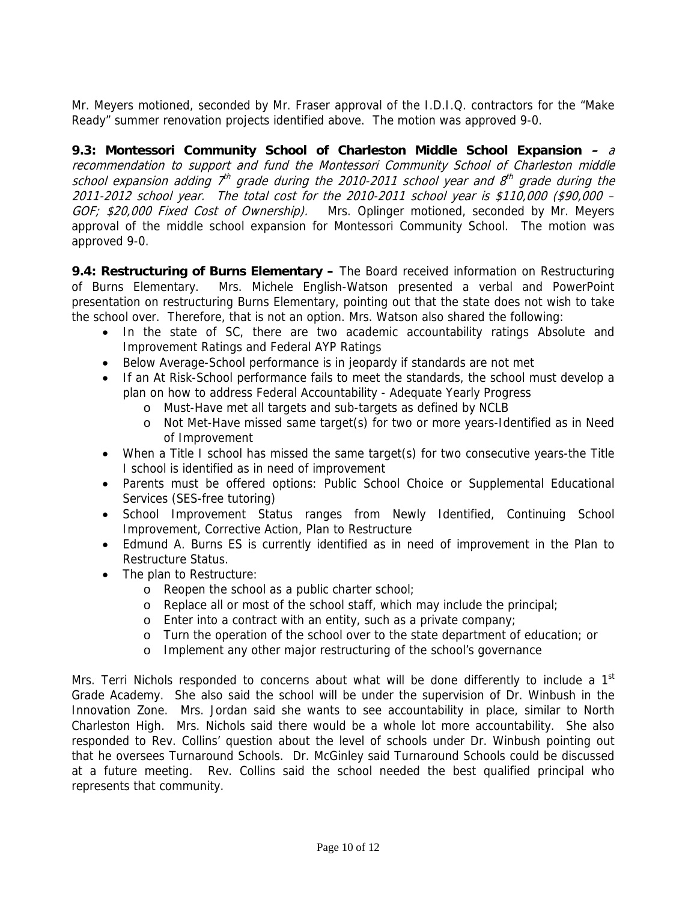Mr. Meyers motioned, seconded by Mr. Fraser approval of the I.D.I.Q. contractors for the "Make Ready" summer renovation projects identified above. The motion was approved 9-0.

**9.3: Montessori Community School of Charleston Middle School Expansion –** <sup>a</sup> recommendation to support and fund the Montessori Community School of Charleston middle school expansion adding  $7<sup>th</sup>$  grade during the 2010-2011 school year and  $8<sup>th</sup>$  grade during the 2011-2012 school year. The total cost for the 2010-2011 school year is \$110,000 (\$90,000 – GOF; \$20,000 Fixed Cost of Ownership). Mrs. Oplinger motioned, seconded by Mr. Meyers approval of the middle school expansion for Montessori Community School. The motion was approved 9-0.

**9.4: Restructuring of Burns Elementary –** The Board received information on Restructuring of Burns Elementary. Mrs. Michele English-Watson presented a verbal and PowerPoint presentation on restructuring Burns Elementary, pointing out that the state does not wish to take the school over. Therefore, that is not an option. Mrs. Watson also shared the following:

- In the state of SC, there are two academic accountability ratings Absolute and Improvement Ratings and Federal AYP Ratings
- Below Average-School performance is in jeopardy if standards are not met
- If an At Risk-School performance fails to meet the standards, the school must develop a plan on how to address Federal Accountability - Adequate Yearly Progress
	- o Must-Have met all targets and sub-targets as defined by NCLB
	- o Not Met-Have missed same target(s) for two or more years-Identified as in Need of Improvement
- When a Title I school has missed the same target(s) for two consecutive years-the Title I school is identified as in need of improvement
- Parents must be offered options: Public School Choice or Supplemental Educational Services (SES-free tutoring)
- School Improvement Status ranges from Newly Identified, Continuing School Improvement, Corrective Action, Plan to Restructure
- Edmund A. Burns ES is currently identified as in need of improvement in the Plan to Restructure Status.
- The plan to Restructure:
	- o Reopen the school as a public charter school;
	- o Replace all or most of the school staff, which may include the principal;
	- o Enter into a contract with an entity, such as a private company;
	- o Turn the operation of the school over to the state department of education; or
	- o Implement any other major restructuring of the school's governance

Mrs. Terri Nichols responded to concerns about what will be done differently to include a  $1<sup>st</sup>$ Grade Academy. She also said the school will be under the supervision of Dr. Winbush in the Innovation Zone. Mrs. Jordan said she wants to see accountability in place, similar to North Charleston High. Mrs. Nichols said there would be a whole lot more accountability. She also responded to Rev. Collins' question about the level of schools under Dr. Winbush pointing out that he oversees Turnaround Schools. Dr. McGinley said Turnaround Schools could be discussed at a future meeting. Rev. Collins said the school needed the best qualified principal who represents that community.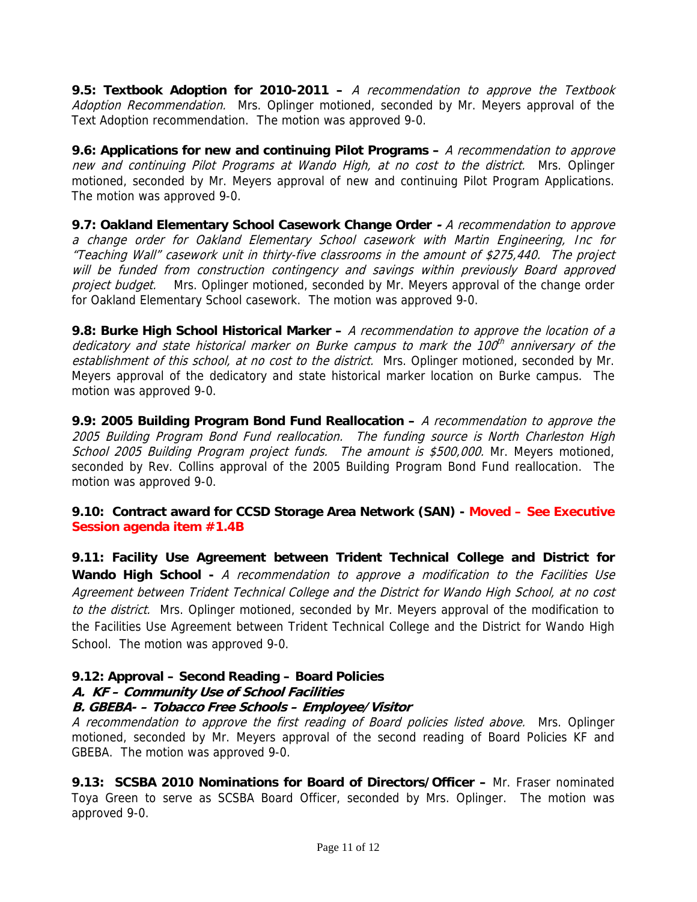**9.5: Textbook Adoption for 2010-2011 –** A recommendation to approve the Textbook Adoption Recommendation. Mrs. Oplinger motioned, seconded by Mr. Meyers approval of the Text Adoption recommendation. The motion was approved 9-0.

**9.6: Applications for new and continuing Pilot Programs –** A recommendation to approve new and continuing Pilot Programs at Wando High, at no cost to the district. Mrs. Oplinger motioned, seconded by Mr. Meyers approval of new and continuing Pilot Program Applications. The motion was approved 9-0.

**9.7: Oakland Elementary School Casework Change Order -** A recommendation to approve a change order for Oakland Elementary School casework with Martin Engineering, Inc for "Teaching Wall" casework unit in thirty-five classrooms in the amount of \$275,440. The project will be funded from construction contingency and savings within previously Board approved project budget. Mrs. Oplinger motioned, seconded by Mr. Meyers approval of the change order for Oakland Elementary School casework. The motion was approved 9-0.

**9.8: Burke High School Historical Marker –** A recommendation to approve the location of a dedicatory and state historical marker on Burke campus to mark the 100<sup>th</sup> anniversary of the establishment of this school, at no cost to the district. Mrs. Oplinger motioned, seconded by Mr. Meyers approval of the dedicatory and state historical marker location on Burke campus. The motion was approved 9-0.

**9.9: 2005 Building Program Bond Fund Reallocation –** A recommendation to approve the 2005 Building Program Bond Fund reallocation. The funding source is North Charleston High School 2005 Building Program project funds. The amount is \$500,000. Mr. Meyers motioned, seconded by Rev. Collins approval of the 2005 Building Program Bond Fund reallocation. The motion was approved 9-0.

## **9.10: Contract award for CCSD Storage Area Network (SAN) - Moved – See Executive Session agenda item #1.4B**

**9.11: Facility Use Agreement between Trident Technical College and District for Wando High School -** A recommendation to approve a modification to the Facilities Use Agreement between Trident Technical College and the District for Wando High School, at no cost to the district. Mrs. Oplinger motioned, seconded by Mr. Meyers approval of the modification to the Facilities Use Agreement between Trident Technical College and the District for Wando High School. The motion was approved 9-0.

# **9.12: Approval – Second Reading – Board Policies**

# **A. KF – Community Use of School Facilities**

# **B. GBEBA- – Tobacco Free Schools – Employee/Visitor**

A recommendation to approve the first reading of Board policies listed above. Mrs. Oplinger motioned, seconded by Mr. Meyers approval of the second reading of Board Policies KF and GBEBA. The motion was approved 9-0.

**9.13: SCSBA 2010 Nominations for Board of Directors/Officer –** Mr. Fraser nominated Toya Green to serve as SCSBA Board Officer, seconded by Mrs. Oplinger. The motion was approved 9-0.